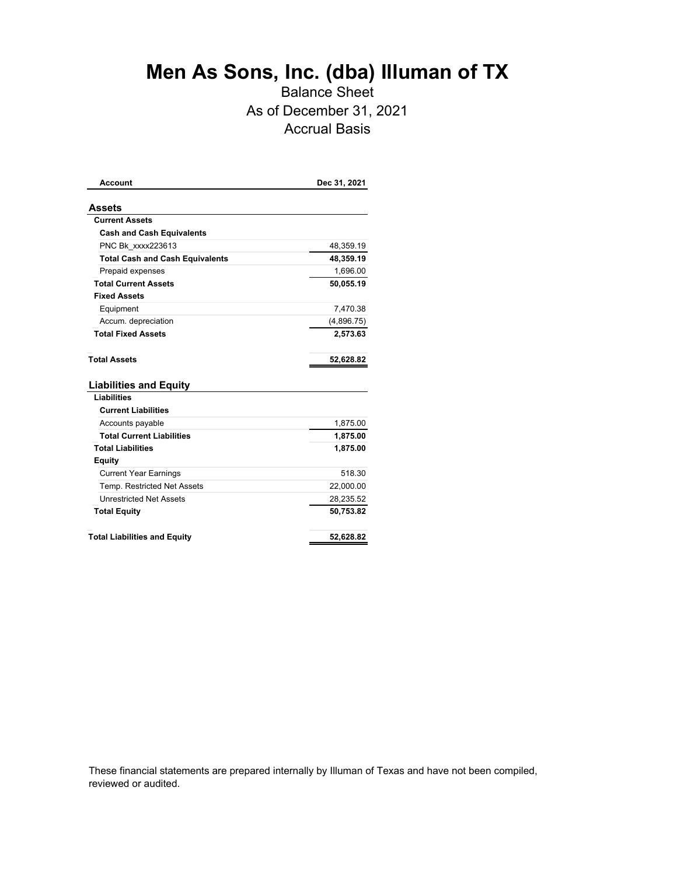## **Men As Sons, Inc. (dba) Illuman of TX**

## Balance Sheet As of December 31, 2021 Accrual Basis

| 48,359.19<br>48,359.19<br>1,696.00 |
|------------------------------------|
|                                    |
|                                    |
|                                    |
|                                    |
|                                    |
|                                    |
| 50,055.19                          |
|                                    |
| 7,470.38                           |
| (4,896.75)                         |
| 2,573.63                           |
| 52,628.82                          |
|                                    |
|                                    |
|                                    |
| 1,875.00                           |
| 1,875.00                           |
| 1,875.00                           |
|                                    |
| 518.30                             |
| 22,000.00                          |
| 28,235.52                          |
| 50,753.82                          |
| 52,628.82                          |
|                                    |

These financial statements are prepared internally by Illuman of Texas and have not been compiled, reviewed or audited.